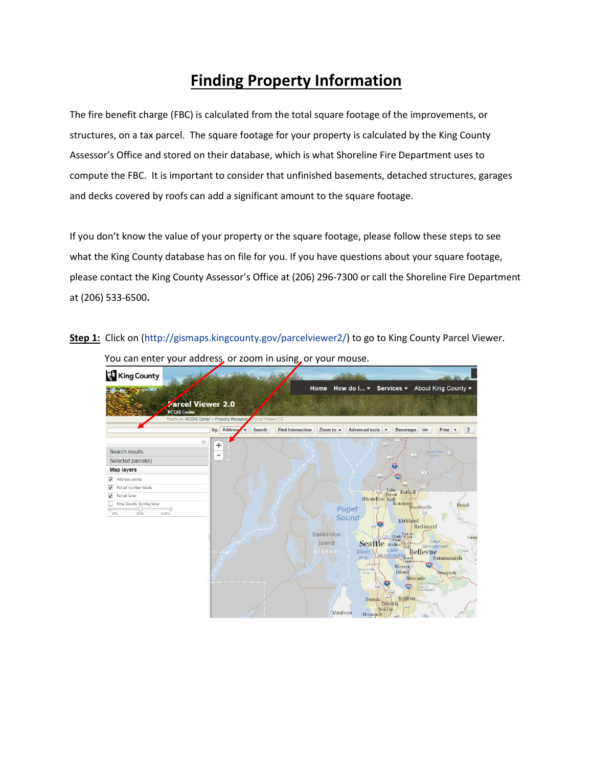## **Finding Property Information**

The fire benefit charge (FBC) is calculated from the total square footage of the improvements, or structures, on a tax parcel. The square footage for your property is calculated by the King County Assessor's Office and stored on their database, which is what Shoreline Fire Department uses to compute the FBC. It is important to consider that unfinished basements, detached structures, garages and decks covered by roofs can add a significant amount to the square footage.

If you don't know the value of your property or the square footage, please follow these steps to see what the King County database has on file for you. If you have questions about your square footage, please contact the King County Assessor's Office at (206) 296-7300 or call the Shoreline Fire Department at (206) 533-6500**.**

**Step 1:** Click on [\(http://gismaps.kingcounty.gov/parcelviewer2/\)](http://gismaps.kingcounty.gov/parcelviewer2/) to go to King County Parcel Viewer.



You can enter your address, or zoom in using, or your mouse.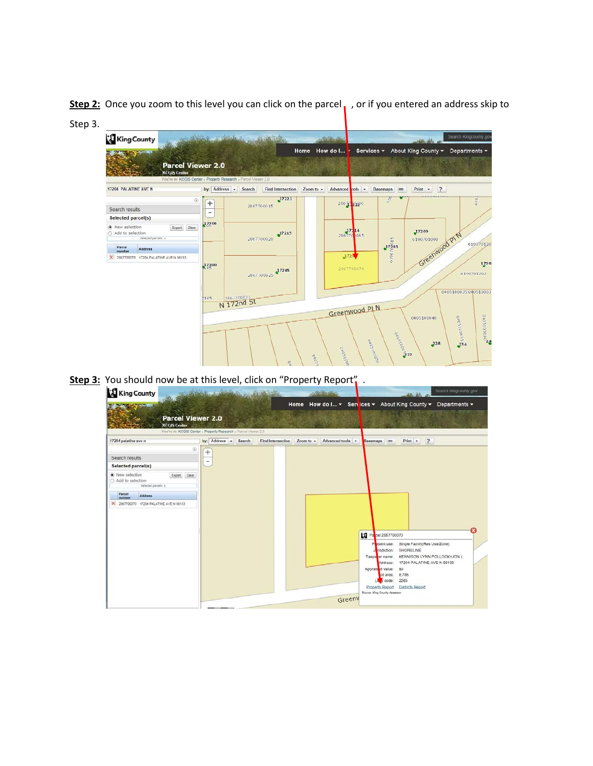**Step 2:** Once you zoom to this level you can click on the parcel, , or if you entered an address skip to Step 3.

| King County                                             |                              | 1 State 2                                                                                             |               |                 |                                |                                | Search Kingcounty.gov   |
|---------------------------------------------------------|------------------------------|-------------------------------------------------------------------------------------------------------|---------------|-----------------|--------------------------------|--------------------------------|-------------------------|
|                                                         |                              |                                                                                                       | Home How do I |                 |                                | Services - About King County - | Departments =           |
|                                                         | <b>Parcel Viewer 2.0</b>     |                                                                                                       |               |                 |                                |                                |                         |
| <b>KCGIS Center</b>                                     |                              |                                                                                                       |               |                 |                                |                                |                         |
| 17204 PALATINE AVE N                                    | by: Address -                | You're in: KCGIS Center » Property Research » Parcel Viewer 2.0<br><b>Find Intersection</b><br>Search | Zoom to +     | Advanced pols - | <b>Basemaps</b><br><b>GB</b>   | Print +<br>$\overline{z}$      |                         |
|                                                         | ٧<br>$+$                     | 17221                                                                                                 |               | 28677 2220      | 0.56                           | <b>SHOP SHOWS STATE</b>        | 619                     |
| Search results                                          | $\qquad \qquad \blacksquare$ | 2867700015                                                                                            |               |                 |                                |                                |                         |
| Selected parcel(s)                                      |                              |                                                                                                       |               |                 |                                |                                |                         |
| (6) New selection<br>Export Clear<br>○ Add to selection | 17306                        |                                                                                                       |               | 286770 065      |                                | 17209                          |                         |
| Selected parcels: 1                                     |                              | 17215<br>2867700020                                                                                   |               |                 |                                | 6190701090                     |                         |
| Parcel<br>Address<br>number                             |                              |                                                                                                       |               |                 | 17203                          | Greenwood PTN                  | 619070120               |
| X 2867700070 17204 PALATINE AVE N 98133                 |                              |                                                                                                       |               | 1720            |                                |                                |                         |
|                                                         | 17300                        | 17205                                                                                                 |               | 2867700070      |                                |                                | 1720                    |
|                                                         |                              | 2867700025                                                                                            |               |                 |                                |                                | 6190701202              |
|                                                         |                              |                                                                                                       |               |                 |                                |                                |                         |
|                                                         | 0165                         |                                                                                                       |               |                 |                                |                                | 0405100035040510003     |
|                                                         |                              | 2867700025<br>N 172nd St                                                                              |               |                 |                                |                                |                         |
|                                                         |                              |                                                                                                       |               | Greepwood PLN   |                                | 0405100040                     |                         |
|                                                         |                              |                                                                                                       |               |                 |                                |                                | <b>M</b> SCOODISONO     |
|                                                         |                              |                                                                                                       |               |                 |                                |                                | D405100020 <sup>4</sup> |
|                                                         |                              |                                                                                                       |               |                 |                                | $^{228}$                       |                         |
|                                                         |                              |                                                                                                       |               | 04053090        | <b>CARGOONS</b><br>04051000590 |                                |                         |
|                                                         |                              | ę.                                                                                                    | onosi         |                 |                                |                                |                         |

**Step 3:** You should now be at this level, click on "Property Report".

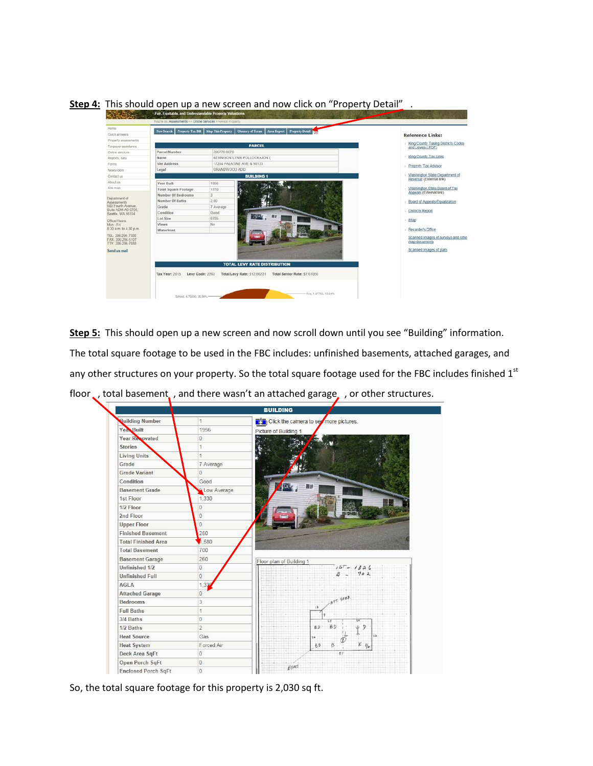**Step 4:** This should open up a new screen and now click on "Property Detail".



**Step 5:** This should open up a new screen and now scroll down until you see "Building" information. The total square footage to be used in the FBC includes: unfinished basements, attached garages, and any other structures on your property. So the total square footage used for the FBC includes finished 1st floor , total basement, , and there wasn't an attached garage, , or other structures.



So, the total square footage for this property is 2,030 sq ft.